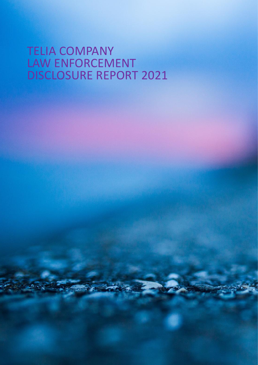# TELIA COMPANY LAW ENFORCEMENT DISCLOSURE REPORT 2021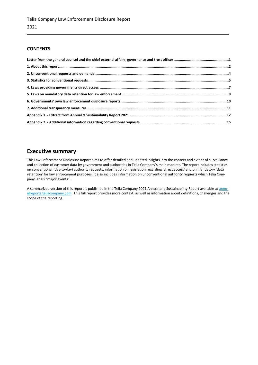# **CONTENTS**

# **Executive summary**

This Law Enforcement Disclosure Report aims to offer detailed and updated insights into the context and extent of surveillance and collection of customer data by government and authorities in Telia Company's main markets. The report includes statistics on conventional (day-to-day) authority requests, information on legislation regarding 'direct access' and on mandatory 'data retention' for law enforcement purposes. It also includes information on unconventional authority requests which Telia Company labels "major events".

A summarized version of this report is published in the Telia Company 2021 Annual and Sustainability Report available a[t annu](https://annualreports.teliacompany.com/)[alreports.teliacompany.com.](https://annualreports.teliacompany.com/) This full report provides more context, as well as information about definitions, challenges and the scope of the reporting.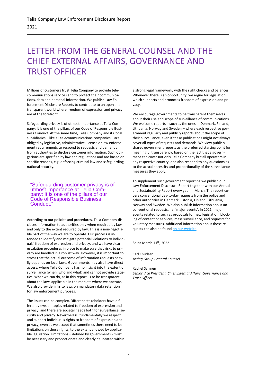# <span id="page-2-0"></span>LETTER FROM THE GENERAL COUNSEL AND THE CHIEF EXTERNAL AFFAIRS, GOVERNANCE AND TRUST OFFICER

Millions of customers trust Telia Company to provide telecommunications services and to protect their communications, data and personal information. We publish Law Enforcement Disclosure Reports to contribute to an open and transparent world where freedom of expression and privacy are at the forefront.

Safeguarding privacy is of utmost importance at Telia Company: It is one of the pillars of our Code of Responsible Business Conduct. At the same time, Telia Company and its local subsidiaries – like all telecommunications companies – are obliged by legislative, administrative, license or law enforcement requirements to respond to requests and demands from authorities to disclose customer information. Such obligations are specified by law and regulations and are based on specific reasons, e.g. enforcing criminal law and safeguarding national security.

"Safeguarding customer privacy is of utmost importance at Telia Company: It is one of the pillars of our Code of Responsible Business Conduct.

According to our policies and procedures, Telia Company discloses information to authorities only when required by law and only to the extent required by law. This is a non-negotiable part of the way we are to operate. Our process is intended to identify and mitigate potential violations to individuals' freedom of expression and privacy, and we have clear escalation procedures in place to make sure that risks to privacy are handled in a robust way. However, it is important to stress that the actual outcome of information requests heavily depends on local laws. Governments may also have direct access, where Telia Company has no insight into the extent of surveillance (when, who and what) and cannot provide statistics. What we can do, as in this report, is to be transparent about the laws applicable in the markets where we operate. We also provide links to laws on mandatory data retention for law enforcement purposes.

The issues can be complex. Different stakeholders have different views on topics related to freedom of expression and privacy, and there are societal needs both for surveillance, security and privacy. Nevertheless, fundamentally we respect and support individual's rights to freedom of expression and privacy, even as we accept that sometimes there need to be limitations on those rights, to the extent allowed by applicable legislation. Limitations – defined by governments - must be necessary and proportionate and clearly delineated within

a strong legal framework, with the right checks and balances. Whenever there is an opportunity, we argue for legislation which supports and promotes freedom of expression and privacy.

We encourage governments to be transparent themselves about their use and scope of surveillance of communications. We welcome reports – such as the ones in Denmark, Finland, Lithuania, Norway and Sweden – where each respective government regularly and publicly reports about the scope of their surveillance, even if these publications might not always cover all types of requests and demands. We view publicly shared government reports as the preferred starting point for meaningful transparency, based on the fact that a government can cover not only Telia Company but all operators in any respective country, and also respond to any questions as to the actual necessity and proportionality of the surveillance measures they apply.

To supplement such government reporting we publish our Law Enforcement Disclosure Report together with our Annual and Sustainability Report every year in March. The report covers conventional day-to-day requests from the police and other authorities in Denmark, Estonia, Finland, Lithuania, Norway and Sweden. We also publish information about unconventional requests, i.e. 'major events'. In 2021, major events related to such as proposals for new legislation, blocking of content or services, mass surveillance, and requests for voluntary measures. Additional information about those requests can also be foun[d on our website.](https://www.teliacompany.com/en/sustainability/responsible-business/freedom-of-expression/)

Solna March 11<sup>th</sup>, 2022

Carl Knudsen *Acting Group General Counsel*

Rachel Samrén *Senior Vice President, Chief External Affairs, Governance and Trust Officer*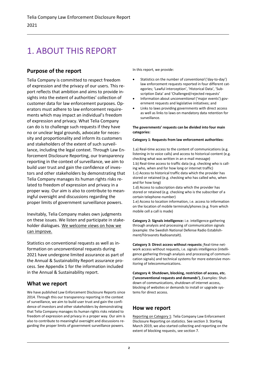# <span id="page-3-0"></span>1. ABOUT THIS REPORT

# **Purpose of the report**

Telia Company is committed to respect freedom of expression and the privacy of our users. This report reflects that ambition and aims to provide insights into the extent of authorities' collection of customer data for law enforcement purposes. Operators must adhere to law enforcement requirements which may impact an individual's freedom of expression and privacy. What Telia Company can do is to challenge such requests if they have no or unclear legal grounds, advocate for necessity and proportionality and inform its customers and stakeholders of the extent of such surveillance, including the legal context. Through Law Enforcement Disclosure Reporting, our transparency reporting in the context of surveillance, we aim to build user trust and gain the confidence of investors and other stakeholders by demonstrating that Telia Company manages its human rights risks related to freedom of expression and privacy in a proper way. Our aim is also to contribute to meaningful oversight and discussions regarding the proper limits of government surveillance powers.

Inevitably, Telia Company makes own judgments on these issues. We listen and participate in stakeholder dialogues. We welcome views on how we can improve.

Statistics on conventional requests as well as information on unconventional requests during 2021 have undergone limited assurance as part of the Annual & Sustainability Report assurance process. See Appendix 1 for the information included in the Annual & Sustainability report.

# **What we report**

We have published Law Enforcement Disclosure Reports since 2014. Through this our transparency reporting in the context of surveillance, we aim to build user trust and gain the confidence of investors and other stakeholders by demonstrating that Telia Company manages its human rights risks related to freedom of expression and privacy in a proper way. Our aim is also to contribute to meaningful oversight and discussions regarding the proper limits of government surveillance powers.

In this report, we provide:

- Statistics on the number of *conventional* ('day-to-day') law enforcement requests reported in four different categories; 'Lawful interception', 'Historical Data', 'Subscription Data' and 'Challenged/rejected requests'
- Information about *unconventional* ('major events') government requests and legislative initiatives; and
- Links to laws providing governments with direct access as well as links to laws on mandatory data retention for surveillance.

### **The governments' requests can be divided into four main categories:**

### **Category 1: Requests from law enforcement authorities:**

1.a) Real-time access to the content of communications (e.g. listening in to voice calls) and access to historical content (e.g. checking what was written in an e-mail message) 1.b) Real-time access to traffic data (e.g. checking who is calling who, when and for how long or internet traffic) 1.c) Access to historical traffic data which the provider has stored or retained (e.g. checking who has called who, when and for how long)

1.d) Access to subscription data which the provider has stored or retained (e.g. checking who is the subscriber of a certain telephone-number)

1.e) Access to location information, i.e. access to information on the location of mobile terminals/phones (e.g. from which mobile cell a call is made)

**Category 2: Signals intelligence:** i.e. intelligence-gathering through analysis and processing of communication signals (example: the Swedish National Defense Radio Establishment/Försvarets Radioanstalt).

**Category 3: Direct access without requests:** Real-time network access without requests, i.e. signals intelligence (intelligence gathering through analysis and processing of communication signals) and technical systems for more extensive monitoring of telecommunications.

**Category 4: Shutdown, blocking, restriction of access, etc. ('unconventional requests and demands').** Examples: Shutdown of communications, shutdown of internet access, blocking of websites or demands to install or upgrade systems for direct access.

# **How we report**

Reporting on Category 1: Telia Company Law Enforcement Disclosure Reporting on statistics. See section 3. Starting March 2019, we also started collecting and reporting on the extent of blocking requests, see section 7.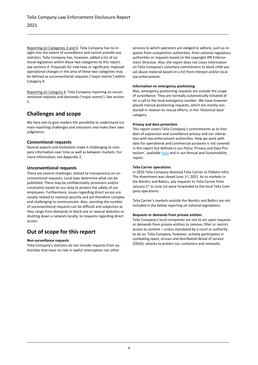Reporting on Categories 2 and 3: Telia Company has no insight into the extent of surveillance and cannot provide any statistics. Telia Company has, however, added a list of national legislation within these two categories to this report, see sections 4. Proposals for new laws or significant, imposed operational changes in the area of these two categories may be defined as unconventional requests ('major events') within Category 4.

Reporting on Category 4: Telia Company reporting on unconventional requests and demands ('major events'). See section  $\mathcal{L}$ 

# **Challenges and scope**

We here aim to give readers the possibility to understand our main reporting challenges and omissions and make their own judgments.

# **Conventional requests**

Several aspects and limitations make it challenging to compare information over time as well as between markets. For more information, see Appendix 2.

# **Unconventional requests**

There are several challenges related to transparency on unconventional requests. Local laws determine what can be published. There may be confidentiality provisions and/or constraints based on our duty to protect the safety of our employees. Furthermore, issues regarding direct access are closely related to national security and are therefore complex and challenging to communicate. Also, counting the number of unconventional requests can be difficult and subjective as they range from demands to block one or several websites or shutting down a network locally, to requests regarding direct access.

# **Out of scope for this report**

# **Non-surveillance requests**

Telia Company's statistics do not include requests from authorities that have no role in lawful interception nor other

services to which operators are obliged to adhere, such as requests from competition authorities, from national regulatory authorities or requests based on the copyright IPR Enforcement Directive. Also, the report does not cover information on Telia Company's voluntary commitment to block child sexual abuse material based on a list from Interpol and/or local law enforcement.

## **Information on emergency positioning**

Also, emergency positioning requests are outside the scope of surveillance. They are normally automatically initiated after a call to the local emergency number. We have however placed manual positioning requests, which are mostly conducted in relation to rescue efforts, in the 'Historical data' category.

## **Privacy and data protection**

This report covers Telia Company's commitments as to freedom of expression and surveillance privacy and our interaction with law enforcement authorities. How we work with data for operational and commercial purposes is not covered in this report but defined in our Policy 'Privacy and Data Protection', available [here](https://www.teliacompany.com/globalassets/telia-company/documents/about-telia-company/public-policy/group-policy-2019-sep/group-policy---privacy-and-data-protection.pdf) and in our Annual and Sustainability report.

## **Telia Carrier operations**

In 2020 Telia Company divested Telia Carrier to Polhem Infra. The divestment was closed June 1st, 2021. As to markets in the Nordics and Baltics, any requests to Telia Carrier from January 1<sup>st</sup> to June 1st were forwarded to the local Telia Company operations.

Telia Carrier's markets outside the Nordics and Baltics are not included in the below reporting on national legislations.

# **Requests or demands from private entities**

Telia Company's local companies are not to act upon requests or demands from private entities to remove, filter or restrict access to content – unless mandated by a court or authority to do so. Telia Company, however, actively participates in combating spam, viruses and distributed denial of service (DDoS) -attacks to protect our customers and networks.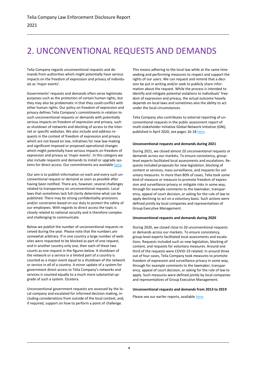# <span id="page-5-0"></span>2. UNCONVENTIONAL REQUESTS AND DEMANDS

Telia Company regards unconventional requests and demands from authorities which might potentially have serious impacts on the freedom of expression and privacy of individuals as 'major events'.

Governments' requests and demands often serve legitimate purposes such as the protection of certain human rights, but they may also be problematic in that they could conflict with other human rights. Our policy on freedom of expression and privacy defines Telia Company's commitments in relation to such unconventional requests or demands with potentially serious impacts on freedom of expression and privacy, such as shutdown of networks and blocking of access to the Internet or specific websites. We also include and address requests in the context of freedom of expression and privacy which are not based on law, initiatives for new law-making and significant imposed or proposed operational changes which might potentially have serious impacts on freedom of expression and privacy as 'major events'. In this category we also include requests and demands to install or upgrade systems for direct access. Our commitments are availabl[e here.](https://www.teliacompany.com/globalassets/telia-company/documents/about-telia-company/public-policy/group-policy---freedom-of-expression.pdf) 

Our aim is to publish information on each and every such unconventional request or demand as soon as possible after having been notified. There are, however, several challenges related to transparency on unconventional requests. Local laws that sometimes lack full clarity determine what can be published. There may be strong confidentiality provisions and/or constraints based on our duty to protect the safety of our employees. With regards to direct access the topic is closely related to national security and is therefore complex and challenging to communicate.

Below we publish the number of unconventional requests received during the year. Please note that the numbers are somewhat arbitrary. If in one country a large number of websites were requested to be blocked as part of one request, and in another country only one, then each of these two counts as one request in the figures below. A shutdown of the network or a service in *a limited part* of a country is counted as a major event equal to a shutdown of the network or service in *all* of a country. A minor update of a system for government direct access to Telia Company's networks and services is counted equally to a much more substantial upgrade of such a system. Etcetera.

Unconventional government requests are assessed by the local company and escalated for informed decision making, including considerations from outside of the local context, and, if required, support on how to perform a point of challenge.

This means adhering to the local law while at the same time seeking and performing measures to respect and support the rights of our users. We can request and remind that a decision be put in writing and/or seek to publicly share information about the request. While the process is intended to identify and mitigate potential violations to individuals' freedom of expression and privacy, the actual outcome heavily depends on local laws and sometimes also the ability to act under the local circumstances.

Telia Company also contributes to external reporting of unconventional requests in the public assessment report of multi-stakeholder initiative Global Network Initiative (GNI), published in April 2020, see pages 16-1[8 here.](https://globalnetworkinitiative.org/wp-content/uploads/2020/04/2018-2019-PAR.pdf)

#### **Unconventional requests and demands during 2021**

During 2021, we closed almost 20 unconventional requests or demands across our markets. To ensure consistency, grouplevel experts facilitated local assessments and escalations. Requests included proposals for new legislation, blocking of content or services, mass surveillance, and requests for voluntary measures. In more than 80% of cases, Telia took some kind of measure or measure to promote freedom of expression and surveillance privacy or mitigate risks in some way, through for example comments to the lawmaker, transparency, appeal of court decision, or asking for the rule of law to apply declining to act on a voluntary basis. Such actions were defined jointly by local companies and representatives of Group Executive Management.

#### **Unconventional requests and demands during 2020**

During 2020, we closed close to 20 unconventional requests or demands across our markets. To ensure consistency, group-level experts facilitated local assessments and escalations. Requests included such as new legislation, blocking of content, and requests for voluntary measures. Around one third of the requests were COVID-19 related. In around three out of four cases, Telia Company took measures to promote freedom of expression and surveillance privacy in some way, through for example comments to the lawmaker, transparency, appeal of court decision, or asking for the rule of law to apply. Such measures were defined jointly by local companies and representatives of Group Executive Management.

#### **Unconventional requests and demands from 2013 to 2019**

Please see our earlier reports, available [here.](https://www.teliacompany.com/en/sustainability/reporting/law-enforcement-disclosure-report/)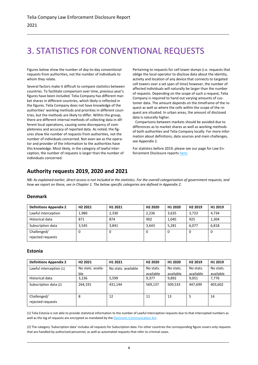# <span id="page-6-0"></span>3. STATISTICS FOR CONVENTIONAL REQUESTS

Figures below show the number of day-to-day conventional requests from authorities, not the number of individuals to whom they relate.

Several factors make it difficult to compare statistics between countries. To facilitate comparison over time, previous year's figures have been included. Telia Company has different market shares in different countries, which likely is reflected in the figures. Telia Company does not have knowledge of the authorities' working methods and priorities in different countries, but the methods are likely to differ. Within the group, there are different internal methods of collecting data in different local operations, causing some discrepancy of completeness and accuracy of reported data. As noted, the figures show the number of requests from authorities, not the number of individuals concerned. Not even we as the operator and provider of the information to the authorities have this knowledge. Most likely, in the category of lawful interception, the number of requests is larger than the number of individuals concerned.

Pertaining to requests for cell tower dumps (i.e. requests that oblige the local operator to disclose data about the identity, activity and location of any device that connects to targeted cell towers over a set span of time) however, the number of affected individuals will naturally be larger than the number of requests. Depending on the scope of such a request, Telia Company is required to hand out varying amounts of customer data. The amount depends on the timeframe of the request as well as where the cells within the scope of the request are situated. In urban areas, the amount of disclosed data is naturally higher.

 Comparisons between markets should be avoided due to differences as to market shares as well as working methods of both authorities and Telia Company locally. For more information about definitions, data sources and main challenges, see Appendix 2.

For statistics before 2019, please see our page for Law Enforcement Disclosure reports [here.](https://www.teliacompany.com/en/sustainability/reporting/law-enforcement-disclosure-report/)

# **Authority requests 2019, 2020 and 2021**

*NB: As explained earlier, direct access is not included in the statistics. For the overall categorization of government requests, and how we report on these, see in Chapter 1. The below specific categories are defined in Appendix 2.*

# **Denmark**

| <b>Definitions Appendix 2</b> | H <sub>2</sub> 2021 | H1 2021 | H <sub>2</sub> 2020 | H <sub>1</sub> 2020 | H <sub>2</sub> 2019 | H1 2019 |
|-------------------------------|---------------------|---------|---------------------|---------------------|---------------------|---------|
| Lawful interception           | 1,980               | 2,330   | 2,236               | 3,635               | 3,723               | 4,734   |
| Historical data               | 871                 | 874     | 902                 | 1.045               | 925                 | 1,304   |
| Subscription data             | 3.545               | 3.841   | 3.643               | 5,281               | 6,077               | 6,818   |
| Challenged/                   | O                   | 0       | 0                   | 0                   | 0                   | 0       |
| rejected requests             |                     |         |                     |                     |                     |         |

# **Estonia**

| <b>Definitions Appendix 2</b> | H <sub>2</sub> 2021 | H1 2021             | H <sub>2</sub> 2020 | H1 2020   | H <sub>2</sub> 2019 | H1 2019   |
|-------------------------------|---------------------|---------------------|---------------------|-----------|---------------------|-----------|
| Lawful interception (1)       | No stats, availa-   | No stats, available | No stats.           | No stats. | No stats.           | No stats. |
|                               | ble                 |                     | available           | available | available           | available |
| Historical data               | 3,236               | 5.599               | 9.377               | 9,892     | 9,051               | 7,776     |
| Subscription data (2)         | 264.191             | 431.144             | 569,137             | 509,533   | 447.699             | 403,602   |
|                               |                     |                     |                     |           |                     |           |
| Challenged/                   | 8                   | 12                  | 11                  | 13        | 5                   | 14        |
| rejected requests             |                     |                     |                     |           |                     |           |

(1) Telia Estonia is not able to provide statistical information to the number of Lawful Interception requests due to that intercepted numbers as well as the log of requests are encrypted as mandated by the **Electronic Communication Act.** 

(2) The category 'Subscription data' includes all requests for Subscription data. For other countries the corresponding figure covers only requests that are handled by authorized personnel, as well as automated requests that refer to criminal cases.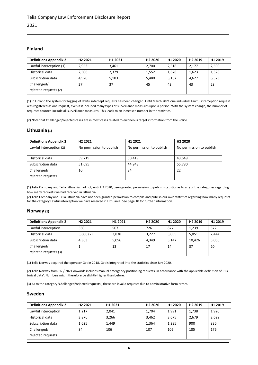# **Finland**

| <b>Definitions Appendix 2</b> | H <sub>2</sub> 2021 | H1 2021 | H <sub>2</sub> 2020 | H1 2020 | H <sub>2</sub> 2019 | H1 2019 |
|-------------------------------|---------------------|---------|---------------------|---------|---------------------|---------|
| Lawful interception (1)       | 2.953               | 3.461   | 2,700               | 2,518   | 2,177               | 2,590   |
| Historical data               | 2.506               | 2.379   | 1,552               | 1,678   | 1,623               | 1,328   |
| Subscription data             | 4.920               | 5.103   | 5.480               | 5.167   | 4.627               | 6.323   |
| Challenged/                   | 27                  | 37      | 45                  | 43      | 43                  | 28      |
| rejected requests (2)         |                     |         |                     |         |                     |         |

(1) In Finland the system for logging of lawful intercept requests has been changed. Until March 2021 one individual Lawful interception request was registered as one request, even if it included many types of surveillance measures upon a person. With the system change, the number of requests counted include all surveillance measures. This leads to an increased number in the statistics.

(2) Note that Challenged/rejected cases are in most cases related to erroneous target information from the Police.

# **Lithuania (1)**

| <b>Definitions Appendix 2</b>    | H <sub>2</sub> 2021      | H <sub>1</sub> 2021      | H <sub>2</sub> 2020      |
|----------------------------------|--------------------------|--------------------------|--------------------------|
| Lawful interception (2)          | No permission to publish | No permission to publish | No permission to publish |
| Historical data                  | 59.719                   | 50.419                   | 43.649                   |
| Subscription data                | 51,695                   | 44.943                   | 55,780                   |
| Challenged/<br>rejected requests | 10                       | 24                       | 22                       |

(1) Telia Company and Telia Lithuania had not, until H2 2020, been granted permission to publish statistics as to any of the categories regarding how many requests we had received in Lithuania.

(2) Telia Company and Telia Lithuania have not been granted permission to compile and publish our own statistics regarding how many requests for the category Lawful interception we have received in Lithuania. See page 10 for further information.

### **Norway (1)**

| <b>Definitions Appendix 2</b>        | H <sub>2</sub> 2021 | H1 2021 | H <sub>2</sub> 2020 | H1 2020 | H <sub>2</sub> 2019 | H1 2019 |
|--------------------------------------|---------------------|---------|---------------------|---------|---------------------|---------|
| Lawful interception                  | 560                 | 507     | 726                 | 877     | 1,239               | 572     |
| Historical data                      | 5,606(2)            | 3,838   | 3.227               | 3.055   | 5,051               | 2,444   |
| Subscription data                    | 4.363               | 5.056   | 4.349               | 5.147   | 10.426              | 5,066   |
| Challenged/<br>rejected requests (3) |                     | 13      | 17                  | 14      | 37                  | 20      |

(1) Telia Norway acquired the operator Get in 2018. Get is integrated into the statistics since July 2020.

(2) Telia Norway from H2 / 2021 onwards includes manual emergency positioning requests, in accordance with the applicable definition of 'Historical data'. Numbers might therefore be slightly higher than before.

(3) As to the category 'Challenged/rejected requests', these are invalid requests due to administrative form errors.

## **Sweden**

| <b>Definitions Appendix 2</b> | H <sub>2</sub> 2021 | H1 2021 | H <sub>2</sub> 2020 | H1 2020 | H <sub>2</sub> 2019 | H1 2019 |
|-------------------------------|---------------------|---------|---------------------|---------|---------------------|---------|
| Lawful interception           | 1.217               | 2.041   | 1,704               | 1,991   | 1,738               | 1,920   |
| Historical data               | 3.876               | 3.266   | 3,462               | 3.675   | 2,679               | 2,629   |
| Subscription data             | 1.625               | 1,449   | 1.364               | 1,235   | 900                 | 836     |
| Challenged/                   | 84                  | 106     | 107                 | 105     | 185                 | 176     |
| rejected requests             |                     |         |                     |         |                     |         |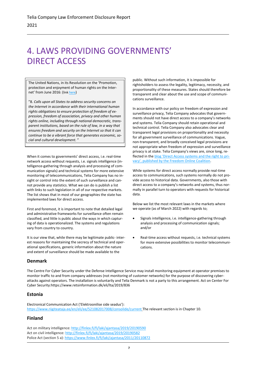# <span id="page-8-0"></span>4. LAWS PROVIDING GOVERNMENTS' DIRECT ACCESS

The United Nations, in its Resolution on the 'Promotion, protection and enjoyment of human rights on the Internet' from June 2016: (lin[k here](http://www.un.org/ga/search/view_doc.asp?symbol=A/HRC/32/L.20))

"8. *Calls upon all States to address security concerns on the Internet in accordance with their international human rights obligations to ensure protection of freedom of expression, freedom of association, privacy and other human rights online, including through national democratic, transparent institutions, based on the rule of law, in a way that ensures freedom and security on the Internet so that it can continue to be a vibrant force that generates economic, social and cultural development.* "

When it comes to governments' direct access, i.e. real-time network access without requests, i.e. signals intelligence (intelligence-gathering through analysis and processing of communication signals) and technical systems for more extensive monitoring of telecommunications, Telia Company has no insight or control into the extent of such surveillance and cannot provide any statistics. What we can do is publish a list with links to such legislation in all of our respective markets. The list shows that in most of our geographies the state has implemented laws for direct access.

First and foremost, it is important to note that detailed legal and administrative frameworks for surveillance often remain classified, and little is public about the ways in which capturing of data is operationalized. The systems and regulations vary from country to country.

It is our view that, while there may be legitimate public- interest reasons for maintaining the secrecy of technical and operational specifications, generic information about the nature and extent of surveillance should be made available to the

# **Denmark**

public. Without such information, it is impossible for rightsholders to assess the legality, legitimacy, necessity, and proportionality of these measures. States should therefore be transparent and clear about the use and scope of communications surveillance.

In accordance with our policy on freedom of expression and surveillance privacy, Telia Company advocates that governments should not have direct access to a company's networks and systems. Telia Company should retain operational and technical control. Telia Company also advocates clear and transparent legal provisions on proportionality and necessity for all government surveillance of communications. Vague, non-transparent, and broadly conceived legal provisions are not appropriate when freedom of expression and surveillance privacy is at stake. Telia Company's views are, since long, reflected in the [blog 'Direct Access systems and the right to pri](https://freedomonlinecoalition.com/working-groups/working-group-2/direct-access-systems/)[vacy', published by the Freedom Online Coalition](https://freedomonlinecoalition.com/working-groups/working-group-2/direct-access-systems/).

While systems for direct access normally provide real-time access to communications, such systems normally do not provide access to historical data. Governments, also those with direct access to a company's networks and systems, thus normally in parallel turn to operators with requests for historical data.

Below we list the most relevant laws in the markets where we operate (as of March 2022) with regards to;

- Signals intelligence, i.e. intelligence-gathering through analysis and processing of communication signals; and/or
- Real-time access without requests, i.e. technical systems for more extensive possibilities to monitor telecommunications.

The Centre For Cyber Security under the Defense Intelligence Service may install monitoring equipment at operator premises to monitor traffic to and from company addresses (not monitoring of customer networks) for the purpose of discovering cyberattacks against operators. The installation is voluntarily and Telia Denmark is not a party to this arrangement. Act on Center For Cyber Security:https://www.retsinformation.dk/eli/lta/2019/836

# **Estonia**

Electronical Communication Act ('Elektroonilise side seadus'): <https://www.riigiteataja.ee/en/eli/ee/521082017008/consolide/current> The relevant section is in Chapter 10.

# **Finland**

Act on military intelligence[: http://finlex.fi/fi/laki/ajantasa/2019/20190590](http://finlex.fi/fi/laki/ajantasa/2019/20190590) Act on civil intelligence[: http://finlex.fi/fi/laki/ajantasa/2019/20190582](http://finlex.fi/fi/laki/ajantasa/2019/20190582) Police Act (section 5 a)[: https://www.finlex.fi/fi/laki/ajantasa/2011/20110872](https://www.finlex.fi/fi/laki/ajantasa/2011/20110872)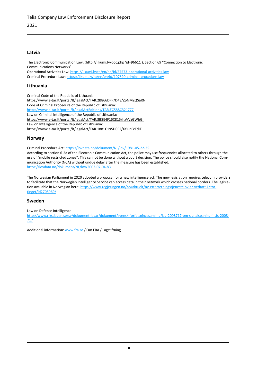# **Latvia**

The Electronic Communication Law: [\(http://likumi.lv/doc.php?id=96611](http://likumi.lv/doc.php?id=96611) ), Section 69 "Connection to Electronic Communications Networks".

Operational Activities Law: <https://likumi.lv/ta/en/en/id/57573-operational-activities-law> Criminal Procedure Law: <https://likumi.lv/ta/en/en/id/107820-criminal-procedure-law>

# **Lithuania**

Criminal Code of the Republic of Lithuania: <https://www.e-tar.lt/portal/lt/legalAct/TAR.2B866DFF7D43/ZpNMZQSaRN> Code of Criminal Procedure of the Republic of Lithuania: <https://www.e-tar.lt/portal/lt/legalActEditions/TAR.EC588C321777> Law on Criminal Intelligence of the Republic of Lithuania: <https://www.e-tar.lt/portal/lt/legalAct/TAR.3B8E4F16C815/hxVVzGWbGr> Law on Intelligence of the Republic of Lithuania: <https://www.e-tar.lt/portal/lt/legalAct/TAR.1881C195D0E2/XYOnFcTdIT>

# **Norway**

Criminal Procedure Act[: https://lovdata.no/dokument/NL/lov/1981-05-22-25](https://lovdata.no/dokument/NL/lov/1981-05-22-25)

According to section 6-2a of the Electronic Communication Act, the police may use frequencies allocated to others through the use of "mobile restricted zones". This cannot be done without a court decision. The police should also notify the National Communication Authority (NCA) without undue delay after the measure has been established. <https://lovdata.no/dokument/NL/lov/2003-07-04-83>

The Norwegian Parliament in 2020 adopted a proposal for a new intelligence act. The new legislation requires telecom providers to facilitate that the Norwegian Intelligence Service can access data in their network which crosses national borders. The legislation available in Norwegian here[: https://www.regjeringen.no/no/aktuelt/ny-etterretningstjenestelov-er-vedtatt-i-stor](https://www.regjeringen.no/no/aktuelt/ny-etterretningstjenestelov-er-vedtatt-i-stortinget/id2705969/)[tinget/id2705969/](https://www.regjeringen.no/no/aktuelt/ny-etterretningstjenestelov-er-vedtatt-i-stortinget/id2705969/)

# **Sweden**

Law on Defense Intelligence:

[http://www.riksdagen.se/sv/dokument-lagar/dokument/svensk-forfattningssamling/lag-2008717-om-signalspaning-i\\_sfs-2008-](http://www.riksdagen.se/sv/dokument-lagar/dokument/svensk-forfattningssamling/lag-2008717-om-signalspaning-i_sfs-2008-717) [717](http://www.riksdagen.se/sv/dokument-lagar/dokument/svensk-forfattningssamling/lag-2008717-om-signalspaning-i_sfs-2008-717)

Additional information: [www.fra.se](http://www.fra.se/) / Om FRA / Lagstiftning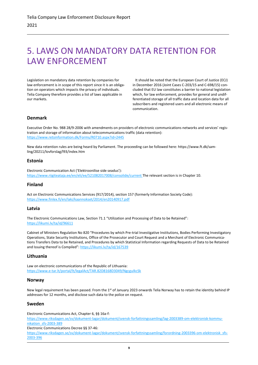# <span id="page-10-0"></span>5. LAWS ON MANDATORY DATA RETENTION FOR LAW ENFORCEMENT

Legislation on mandatory data retention by companies for law enforcement is in scope of this report since it is an obligation on operators which impacts the privacy of individuals. Telia Company therefore provides a list of laws applicable in our markets.

 It should be noted that the European Court of Justice (ECJ) in December 2016 (Joint Cases C-203/15 and C-698/15) concluded that EU law constitutes a barrier to national legislation which, for law enforcement, provides for general and undifferentiated storage of all traffic data and location data for all subscribers and registered users and all electronic means of communication.

# **Denmark**

Executive Order No. 988 28/9-2006 with amendments on providers of electronic communications networks and services' registration and storage of information about telecommunications traffic (data retention): <https://www.retsinformation.dk/Forms/R0710.aspx?id=2445>

New data retention rules are being heard by Parliament. The proceeding can be followed here: [https://www.ft.dk/sam](https://www.ft.dk/samling/20211/lovforslag/l93/index.htm)[ling/20211/lovforslag/l93/index.htm](https://www.ft.dk/samling/20211/lovforslag/l93/index.htm) 

## **Estonia**

Electronic Communication Act ('Elektroonilise side seadus'): <https://www.riigiteataja.ee/en/eli/ee/521082017008/consolide/current> The relevant section is in Chapter 10.

# **Finland**

Act on Electronic Communications Services (917/2014), section 157 (formerly Information Society Code): <https://www.finlex.fi/en/laki/kaannokset/2014/en20140917.pdf>

# **Latvia**

The Electronic Communications Law, Section 71.1 "Utilization and Processing of Data to be Retained": <https://likumi.lv/ta/id/96611>

Cabinet of Ministers Regulation No 820 "Procedures by which Pre-trial Investigative Institutions, Bodies Performing Investigatory Operations, State Security Institutions, Office of the Prosecutor and Court Request and a Merchant of Electronic Communications Transfers Data to be Retained, and Procedures by which Statistical Information regarding Requests of Data to be Retained and Issuing thereof is Compiled": <https://likumi.lv/ta/id/167539>

# **Lithuania**

Law on electronic communications of the Republic of Lithuania: <https://www.e-tar.lt/portal/lt/legalAct/TAR.82D8168D3049/NgcguIkcSk>

# **Norway**

New legal requirement has been passed. From the 1<sup>st</sup> of January 2023 onwards Telia Norway has to retain the identity behind IP addresses for 12 months, and disclose such data to the police on request.

# **Sweden**

Electronic Communications Act, Chapter 6, §§ 16a-f: [https://www.riksdagen.se/sv/dokument-lagar/dokument/svensk-forfattningssamling/lag-2003389-om-elektronisk-kommu](https://www.riksdagen.se/sv/dokument-lagar/dokument/svensk-forfattningssamling/lag-2003389-om-elektronisk-kommunikation_sfs-2003-389)nikation sfs-2003-389

Electronic Communications Decree §§ 37-46:

[https://www.riksdagen.se/sv/dokument-lagar/dokument/svensk-forfattningssamling/forordning-2003396-om-elektronisk\\_sfs-](https://www.riksdagen.se/sv/dokument-lagar/dokument/svensk-forfattningssamling/forordning-2003396-om-elektronisk_sfs-2003-396)[2003-396](https://www.riksdagen.se/sv/dokument-lagar/dokument/svensk-forfattningssamling/forordning-2003396-om-elektronisk_sfs-2003-396)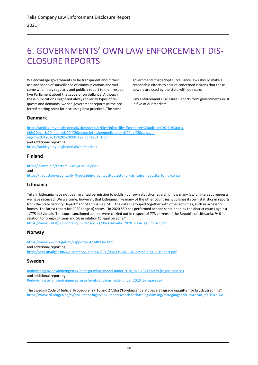# <span id="page-11-0"></span>6. GOVERNMENTS' OWN LAW ENFORCEMENT DIS-CLOSURE REPORTS

We encourage governments to be transparent about their use and scope of surveillance of communications and welcome when they regularly and publicly report to their respective Parliament about the scope of surveillance. Although these publications might not always cover all types of requests and demands, we see government reports as the preferred starting point for discussing best practices. The same

governments that adopt surveillance laws should make all reasonable efforts to ensure concerned citizens that these powers are used by the state with due care.

Law Enforcement Disclosure Reports from governments exist in five of our markets.

# **Denmark**

[https://anklagemyndigheden.dk/sites/default/files/inline-files/Revideret%20udkast%20-%20Statis](https://anklagemyndigheden.dk/sites/default/files/inline-files/Revideret%20udkast%20-%20Statistik%20over%20indgreb%20i%20meddelelseshemmeligheden%20og%20ransagninger%20i%202019%20%28004%29.pdf%201_1.pdf)[tik%20over%20indgreb%20i%20meddelelseshemmeligheden%20og%20ransagn](https://anklagemyndigheden.dk/sites/default/files/inline-files/Revideret%20udkast%20-%20Statistik%20over%20indgreb%20i%20meddelelseshemmeligheden%20og%20ransagninger%20i%202019%20%28004%29.pdf%201_1.pdf)[inger%20i%202019%20%28004%29.pdf%201\\_1.pdf](https://anklagemyndigheden.dk/sites/default/files/inline-files/Revideret%20udkast%20-%20Statistik%20over%20indgreb%20i%20meddelelseshemmeligheden%20og%20ransagninger%20i%202019%20%28004%29.pdf%201_1.pdf) and additional reporting: <https://anklagemyndigheden.dk/da/statistik>

# **Finland**

<http://intermin.fi/kertomukset-ja-selvitykset> and <https://tiedusteluvalvonta.fi/-/tiedusteluvalvontavaltuutettu-julkaisi-toisen-vuosikertomuksensa>

# **Lithuania**

Telia in Lithuania have not been granted permission to publish our own statistics regarding how many lawful intercept requests we have received. We welcome, however, that Lithuania, like many of the other countries, publishes its own statistics in reports from the State Security Department of Lithuania (SSD). The data is grouped together with other activities, such as access to homes. The latest report for 2020 (page 4) states: "In 2020 SSD has performed actions sanctioned by the district courts against 1,775 individuals. The court sanctioned actions were carried out in respect of 773 citizens of the Republic of Lithuania, 946 in relation to foreign citizens and 56 in relation to legal persons."

[https://www.vsd.lt/wp-content/uploads/2021/05/Ataskaita\\_2020\\_viesa\\_galutinis-3.pdf](https://www.vsd.lt/wp-content/uploads/2021/05/Ataskaita_2020_viesa_galutinis-3.pdf)

# **Norway**

https://www.kk-utvalget.no/rapporter.473489.no.html and additional reporting: <https://eos-utvalget.no/wp-content/uploads/2020/03/EOS-a%CC%8Arsmelding-2019-nett.pdf>

# **Sweden**

[Redovisning av användningen av hemliga tvångsmedel under 2020, skr. 2021/22:79 \(regeringen.se\)](https://www.regeringen.se/4af539/contentassets/ab7521e094094b1fbb50c7aaaa5c1b3d/redovisning-av-anvandningen-av-hemliga-tvangsmedel-under-2020-skr.-20212279.pdf) and additional reporting: [Redovisning av användningen av vissa hemliga tvångsmedel under 2020 \(aklagare.se\)](https://www.aklagare.se/globalassets/dokument/rapporter/ovriga-rapporter/redovisning-av-anvandningen-av-vissa-hemliga-tvangsmedel-under-2020.pdf)

The Swedish Code of Judicial Procedure, 27:16 and 27:16a ('Föreläggande att bevara lagrade uppgifter för brottsutredning') [https://www.riksdagen.se/sv/dokument-lagar/dokument/svensk-forfattningssamling/rattegangsbalk-1942740\\_sfs-1942-740](https://www.riksdagen.se/sv/dokument-lagar/dokument/svensk-forfattningssamling/rattegangsbalk-1942740_sfs-1942-740)\_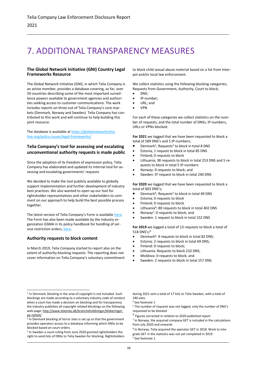# <span id="page-12-0"></span>7. ADDITIONAL TRANSPARENCY MEASURES

### **The Global Network Initiative (GNI) Country Legal Frameworks Resource**

The Global Network Initiative (GNI), in which Telia Company is an active member, provides a database covering, so far, over 50 countries describing some of the most important surveillance powers available to government agencies and authorities seeking access to customer communications. The work includes reports on three out of Telia Company's core markets (Denmark, Norway and Sweden). Telia Company has contributed to this work and will continue to help building this joint resource.

The database is available at [https://globalnetworkinitia](https://globalnetworkinitiative.org/policy-issues/legal-frameworks/)[tive.org/policy-issues/legal-frameworks/](https://globalnetworkinitiative.org/policy-issues/legal-frameworks/) 

# **Telia Company's tool for assessing and escalating unconventional authority requests is made public**

Since the adoption of its freedom of expression policy, Telia Company has elaborated and updated its internal tool for assessing and escalating governments' requests

We decided to make the tool publicly available to globally support implementation and further development of industry best practices. We also wanted to open up our tool for rightsholder representatives and other stakeholders to comment on our approach to help build the best possible process together.

The latest version of Telia Company's Form is available here. The Form has also been made available by the industry organization GSMA in its policy handbook for handling of ser-vice restriction orders[, here.](https://www.gsma.com/publicpolicy/mobilepolicyhandbook/consumer-protection#service-restriction-orders)

# **Authority requests to block content**

In March 2019, Telia Company started to report also on the extent of authority blocking requests. The reporting does not cover information on Telia Company's voluntary commitment to block child sexual abuse material based on a list from Interpol and/or local law enforcement.

We collect statistics using the following blocking categories; Requests from Government, Authority, Court to block;

- DNS;
- IP-number;
- URL; and
- VPN

For each of these categories we collect statistics on the number of requests, and the total number of DNSs, IP-numbers, URLs or VPNs blocked.

**For 2021** we logged that we have been requested to block a total of 589 DNS's and 5 IP-numbers;

- Denmark<sup>1</sup>; Requests<sup>2</sup> to block in total 8 DNS
- Estonia; 1 request to block in total 85 DNS
- Finland; 0 requests to block
- Lithuania; 38 requests to block in total 253 DNS and 5 requests to block in total 5 IP-numbers
- Norway: 0 requests to block; and
- Sweden: 0<sup>3</sup> request to block in total 240 DNS

**For 2020** we logged that we have been requested to block a total of 603 DNS's;

- Denmark<sup>4</sup>; Requests<sup>5</sup> to block in total 49 DNS
- Estonia; 0 requests to block
- Finland; 0 requests to block
- Lithuania<sup>6</sup>; 80 requests to block in total 402 DNS
- Norway<sup>7</sup>: 0 requests to block; and
- Sweden: 1 request to block in total 152 DNS

**For 2019** we logged a total of 13 requests to block a total of 518 DNS's;<sup>8</sup>

- Denmark<sup>9</sup>: 9 requests to block in total 82 DNS;
- Estonia: 2 requests to block in total 69 DNS;
- Finland: 0 requests to block;
- Lithuania: Requests to block 210 DNS;
- Moldova: 0 requests to block; and
- Sweden: 2 requests to block in total 157 DNS.

during 2021 sent a total of 17 lists to Telia Sweden, with a total of 240 sites.

- <sup>5</sup> The number of requests was not logged, only the number of DNS's requested to be blocked
- 6 Figures corrected in relation to 2020 published report

7 In Norway, the acquired company GET is included in the calculations from July 2020 and onwards

<sup>&</sup>lt;sup>1</sup> In Denmark, blocking in the area of copyright is not included. Such blockings are made according to a voluntary industry code of conduct when a court has made a decision on blocking and for transparency the industry publishes all copyright related blockings on the following web-page: [http://www.teleindu.dk/brancheholdninger/blokeringer](http://www.teleindu.dk/brancheholdninger/blokeringer-pa-nettet/)[pa-nettet/](http://www.teleindu.dk/brancheholdninger/blokeringer-pa-nettet/)

<sup>&</sup>lt;sup>2</sup> In Denmark blocking of terror sites is set up so that the government provides operators access to a database informing which DNSs to be blocked based on court orders.

<sup>&</sup>lt;sup>3</sup> In Sweden a court-ruling from June 2020 granted rightsholders the right to send lists of DNSs to Telia Sweden for blocking. Rightsholders

<sup>4</sup> See footnote 1

<sup>8</sup> In Norway, Telia acquired the operator GET in 2018. Work to integrate GET in the statistics was not yet completed in 2019. See footnote 1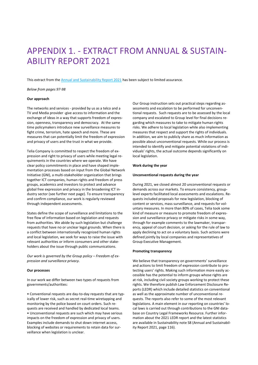# <span id="page-13-0"></span>APPENDIX 1. - EXTRACT FROM ANNUAL & SUSTAIN-ABILITY REPORT 2021

This extract from the [Annual and Sustainability Report 2021](https://www.teliacompany.com/en/investors/reports-and-presentations/) has been subject to limited assurance.

*Below from pages 97-98*

#### **Our approach**

The networks and services - provided by us as a telco and a TV and Media provider -give access to information and the exchange of ideas in a way that supports freedom of expression, openness, transparency and democracy. At the same time policymakers introduce new surveillance measures to fight crime, terrorism, hate speech and more. These are measures that can potentially limit the freedom of expression and privacy of users and the trust in what we provide.

Telia Company is committed to respect the freedom of expression and right to privacy of users while meeting legal requirements in the countries where we operate. We have clear policy commitments in place and have shaped implementation processes based on input from the Global Network Initiative (GNI), a multi-stakeholder organization that brings together ICT companies, human rights and freedom of press groups, academics and investors to protect and advance global free expression and privacy in the broadening ICT industry sector (see further next page). To ensure transparency and confirm compliance, our work is regularly reviewed through independent assessments.

States define the scope of surveillance and limitations to the free flow of information based on legislation and requests from authorities. We abide by such legislation but challenge requests that have no or unclear legal grounds. When there is a conflict between internationally recognized human rights and local legislation, we seek for ways to raise the issue with relevant authorities or inform consumers and other stakeholders about the issue through public communications.

Our work is governed by the Group policy - [Freedom of ex](https://www.teliacompany.com/globalassets/telia-company/documents/about-telia-company/public-policy/2020/group-policy---freedom-of-expressiona-and-surveillance-privacy.pdf)*[pression and surveillance privacy.](https://www.teliacompany.com/globalassets/telia-company/documents/about-telia-company/public-policy/2020/group-policy---freedom-of-expressiona-and-surveillance-privacy.pdf)*

#### **Our processes**

In our work we differ between two types of requests from governments/authorities:

• Conventional requests are day-to-day requests that are typically of lower risk, such as secret real-time wiretapping and monitoring by the police based on court orders. Such requests are received and handled by dedicated local teams. • Unconventional requests are such which may have serious impacts on the freedom of expression and privacy of users. Examples include demands to shut down internet access, blocking of websites or requirements to retain data for surveillance when legislation is unclear.

Our Group instruction sets out practical steps regarding assessments and escalation to be performed for unconventional requests. Such requests are to be assessed by the local company and escalated to Group level for final decisions regarding which measures to take to mitigate human rights risks. We adhere to local legislation while also implementing measures that respect and support the rights of individuals. In addition, we aim to publicly share as much information as possible about unconventional requests. While our process is intended to identify and mitigate potential violations of individuals' rights, the actual outcome depends significantly on local legislation.

#### **Work during the year**

#### **Unconventional requests during the year**

During 2021, we closed almost 20 unconventional requests or demands across our markets. To ensure consistency, grouplevel experts facilitated local assessments and escalations. Requests included proposals for new legislation, blocking of content or services, mass surveillance, and requests for voluntary measures. In more than 80% of cases, Telia took some kind of measure or measure to promote freedom of expression and surveillance privacy or mitigate risks in some way, through for example comments to the lawmaker, transparency, appeal of court decision, or asking for the rule of law to apply declining to act on a voluntary basis. Such actions were defined jointly by local companies and representatives of Group Executive Management.

#### **Promoting transparency**

We believe that transparency on governments' surveillance and actions to limit freedom of expression contribute to protecting users' rights. Making such information more easily accessible has the potential to inform groups whose rights are at risk, including civil society groups working to protect these rights. We therefore publish Law Enforcement Disclosure Reports (LEDR) which include detailed statistics on conventional as well as the approximate number of unconventional requests. The reports also refer to some of the most relevant legislations. A main element in our reporting on countries' local laws is carried out through contributions to the GNI database on Country Legal Frameworks Resource. Further information about the 2021 LEDR report and the latest statistics are available in Sustainability note S8 (Annual and Sustainability Report 2021, page 116).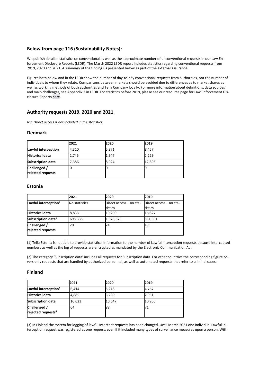# **Below from page 116 (Sustainability Notes):**

We publish detailed statistics on conventional as well as the approximate number of unconventional requests in our Law Enforcement Disclosure Reports (LEDR). The March 2022 LEDR report includes statistics regarding conventional requests from 2019, 2020 and 2021. A summary of the findings is presented below as part of the external assurance.

Figures both below and in the LEDR show the number of day-to-day conventional requests from authorities, not the number of individuals to whom they relate. Comparisons between markets should be avoided due to differences as to market shares as well as working methods of both authorities and Telia Company locally. For more information about definitions, data sources and main challenges, see Appendix 2 in LEDR. For statistics before 2019, please see our resource page for Law Enforcement Disclosure Report[s here.](https://www.teliacompany.com/en/sustainability/reporting/law-enforcement-disclosure-report/)

# **Authority requests 2019, 2020 and 2021**

*NB: Direct access is not included in the statistics.*

### **Denmark**

|                                   | 2021  | 2020  | 2019   |  |
|-----------------------------------|-------|-------|--------|--|
| Lawful interception               | 4,310 | 5,871 | 8,457  |  |
| <b>Historical data</b>            | 1,745 | 1,947 | 2,229  |  |
| <b>Subscription data</b>          | 7,386 | 8,924 | 12,895 |  |
| Challenged /<br>rejected requests | 0     |       |        |  |

### **Estonia**

|                                   | 2021          | 2020                               | 2019                               |
|-----------------------------------|---------------|------------------------------------|------------------------------------|
| Lawful interception $1$           | No statistics | Direct access - no sta-<br>tistics | Direct access - no sta-<br>tistics |
| <b>Historical data</b>            | 8,835         | 19,269                             | 16,827                             |
| Subscription data <sup>2</sup>    | 695,335       | 1,078,670                          | 851,301                            |
| Challenged /<br>rejected requests | 20            | 24                                 | 19                                 |

(1) Telia Estonia is not able to provide statistical information to the number of Lawful Interception requests because intercepted numbers as well as the log of requests are encrypted as mandated by the Electronic Communication Act.

(2) The category 'Subscription data' includes all requests for Subscription data. For other countries the corresponding figure covers only requests that are handled by authorized personnel, as well as automated requests that refer to criminal cases.

# **Finland**

|                                                | 2021   | 2020   | 2019   |
|------------------------------------------------|--------|--------|--------|
| Lawful interception <sup>3</sup>               | 6.414  | 5,218  | 4,767  |
| <b>Historical data</b>                         | 4,885  | 3,230  | 2,951  |
| <b>Subscription data</b>                       | 10.023 | 10,647 | 10,950 |
| Challenged /<br>rejected requests <sup>4</sup> | 64     | 88     |        |

(3) In Finland the system for logging of lawful intercept requests has been changed. Until March 2021 one individual Lawful interception request was registered as one request, even if it included many types of surveillance measures upon a person. With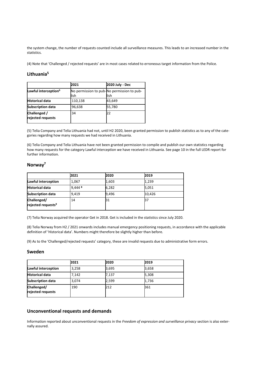the system change, the number of requests counted include all surveillance measures. This leads to an increased number in the statistics.

(4) Note that 'Challenged / rejected requests' are in most cases related to erroneous target information from the Police.

# **Lithuania<sup>5</sup>**

|                                   | 2021    | 2020 July - Dec                                    |
|-----------------------------------|---------|----------------------------------------------------|
| Lawful interception <sup>6</sup>  | lish    | No permission to pub-No permission to pub-<br>lish |
| <b>Historical data</b>            | 110,138 | 43,649                                             |
| <b>Subscription data</b>          | 96,638  | 55,780                                             |
| Challenged /<br>rejected requests | 34      | 22                                                 |

(5) Telia Company and Telia Lithuania had not, until H2 2020, been granted permission to publish statistics as to any of the categories regarding how many requests we had received in Lithuania.

(6) Telia Company and Telia Lithuania have not been granted permission to compile and publish our own statistics regarding how many requests for the category Lawful interception we have received in Lithuania. See page 10 in the full LEDR report for further information.

## **Norway<sup>7</sup>**

|                                               | 2021    | 2020  | 2019   |  |
|-----------------------------------------------|---------|-------|--------|--|
| Lawful interception                           | 1,067   | 1,603 | 1,239  |  |
| <b>Historical data</b>                        | 9,444 8 | 6,282 | 5,051  |  |
| <b>Subscription data</b>                      | 9,419   | 9,496 | 10,426 |  |
| Challenged/<br>rejected requests <sup>9</sup> | 14      | 31    |        |  |

(7) Telia Norway acquired the operator Get in 2018. Get is included in the statistics since July 2020.

(8) Telia Norway from H2 / 2021 onwards includes manual emergency positioning requests, in accordance with the applicable definition of 'Historical data'. Numbers might therefore be slightly higher than before.

(9) As to the 'Challenged/rejected requests' category, these are invalid requests due to administrative form errors.

### **Sweden**

|                                  | 2021  | 2020  | 2019  |  |
|----------------------------------|-------|-------|-------|--|
| Lawful interception              | 3,258 | 3,695 | 3,658 |  |
| <b>Historical data</b>           | 7,142 | 7,137 | 5,308 |  |
| <b>Subscription data</b>         | 3,074 | 2,599 | 1,736 |  |
| Challenged/<br>rejected requests | 190   | 212   | 361   |  |

# **Unconventional requests and demands**

Information reported about unconventional requests in the *Freedom of expression and surveillance privacy* section is also externally assured.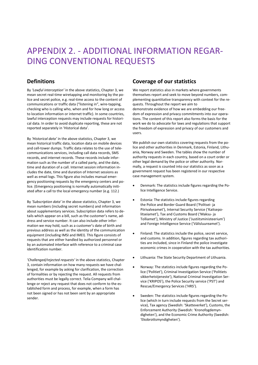# <span id="page-16-0"></span>APPENDIX 2. - ADDITIONAL INFORMATION REGAR-DING CONVENTIONAL REQUESTS

# **Definitions**

By *'Lawful interception'* in the above statistics, Chapter 3, we mean secret real-time wiretapping and monitoring by the police and secret police, e.g. real-time access to the content of communications or traffic data ("listening in", wire-tapping, checking who is calling who, when and for how long or access to location information or internet traffic). In some countries, lawful interception requests may include requests for historical data. In order to avoid duplicate reporting, these are not reported separately in 'Historical data'.

By *'Historical data'* in the above statistics, Chapter 3, we mean historical traffic data, location data on mobile devices and cell-tower dumps. Traffic data relates to the use of telecommunications services, including call data records, SMS records, and internet records. These records include information such as the number of a called party, and the date, time and duration of a call. Internet session information includes the date, time and duration of Internet sessions as well as email logs. This figure also includes manual emergency positioning requests by the emergency centers and police. (Emergency positioning is normally automatically initiated after a call to the local emergency number (e.g. 112.)

By *'Subscription data'* in the above statistics, Chapter 3, we mean numbers (including secret numbers) and information about supplementary services. Subscription data refers to details which appear on a bill, such as the customer's name, address and service number. It can also include other information we may hold, such as a customer's date of birth and previous address as well as the identity of the communication equipment (including IMSI and IMEI). This figure consists of requests that are either handled by authorized personnel or by an automated interface with reference to a criminal case identification number.

*'Challenged/rejected requests'* in the above statistics, Chapter 3, contain information on how many requests we have challenged, for example by asking for clarification, the correction of formalities or by rejecting the request. All requests from authorities must be legally correct. Telia Company will challenge or reject any request that does not conform to the established form and process, for example, when a form has not been signed or has not been sent by an appropriate sender.

# **Coverage of our statistics**

We report statistics also in markets where governments themselves report and seek to move beyond numbers, complementing quantitative transparency with context for the requests. Throughout the report we aim to demonstrate evidence of how we are embedding our freedom of expression and privacy commitments into our operations. The content of this report also forms the basis for the work we do to advocate for laws and regulations that support the freedom of expression and privacy of our customers and users.

We publish our own statistics covering requests from the police and other authorities in Denmark, Estonia, Finland, Lithuania, Norway and Sweden. The tables show the number of authority requests in each country, based on a court order or other legal demand by the police or other authority. Normally, a request is counted into our statistics as soon as a government request has been registered in our respective case management system.

- Denmark: The statistics include figures regarding the Police Intelligence Service.
- Estonia: The statistics include figures regarding the Police and Border Guard Board ('Politsei- ja Piirivalveamet'), Internal Security Service ('Kaitsepolitseiamet'), Tax and Customs Board ('Maksu- ja Tolliamet'), Ministry of Justice ('Justiitsministeerium') and Foreign Intelligence Service ('Välisluureamet').
- Finland: The statistics include the police, secret service, and customs. In addition, figures regarding tax authorities are included, since in Finland the police investigate economic crimes in cooperation with the tax authorities.
- Lithuania: The State Security Department of Lithuania.
- Norway: The statistics include figures regarding the Police ('Politiet'), Criminal Investigation Service ('Politiets sikkerhetstjeneste'), National Criminal Investigation Service ('KRIPOS'), the Police Security service ('PST') and Rescue/Emergency Services ('HRS').
- Sweden: The statistics include figures regarding the Police (which in turn include requests from the Secret service), Tax agency (Swedish: 'Skatteverket'), Customs, the Enforcement Authority (Swedish: 'Kronofogdemyndigheten'), and the Economic Crime Authority (Swedish: 'Ekobrottsmyndigheten').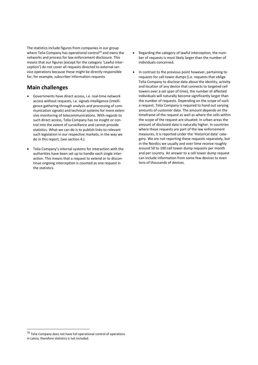The statistics include figures from companies in our group where Telia Company has operational control<sup>10</sup> and owns the networks and process for law enforcement disclosure. This means that our figures (except for the category 'Lawful interception') do not cover all requests directed to external service operations because these might be directly responsible for, for example, subscriber information requests.

# **Main challenges**

- Governments have direct access, i.e. real-time network access without requests, i.e. signals intelligence (intelligence gathering through analysis and processing of communication signals) and technical systems for more extensive monitoring of telecommunications. With regards to such direct access, Telia Company has no insight or control into the extent of surveillance and cannot provide statistics. What we can do is to publish links to relevant such legislation in our respective markets, in the way we do in this report, (see section 4.).
- Telia Company's internal systems for interaction with the authorities have been set up to handle each single interaction. This means that a request to extend or to discontinue ongoing interception is counted as one request in the statistics.
- Regarding the category of lawful interception, the number of requests is most likely larger than the number of individuals concerned.
- In contrast to the previous point however, pertaining to requests for cell tower dumps (i.e. requests that oblige Telia Company to disclose data about the identity, activity and location of any device that connects to targeted cell towers over a set span of time), the number of affected individuals will naturally become significantly larger than the number of requests. Depending on the scope of such a request, Telia Company is required to hand out varying amounts of customer data. The amount depends on the timeframe of the request as well as where the cells within the scope of the request are situated. In urban areas the amount of disclosed data is naturally higher. In countries where these requests are part of the law enforcement measures, it is reported under the 'Historical data' category. We are not reporting these requests separately, but in the Nordics we usually and over time receive roughly around 50 to 100 cell tower dump requests per month and per country. An answer to a cell tower dump request can include information from some few devices to even tens of thousands of devices.

<sup>10</sup> Telia Company does not have full operational control of operations in Latvia, therefore statistics is not included.